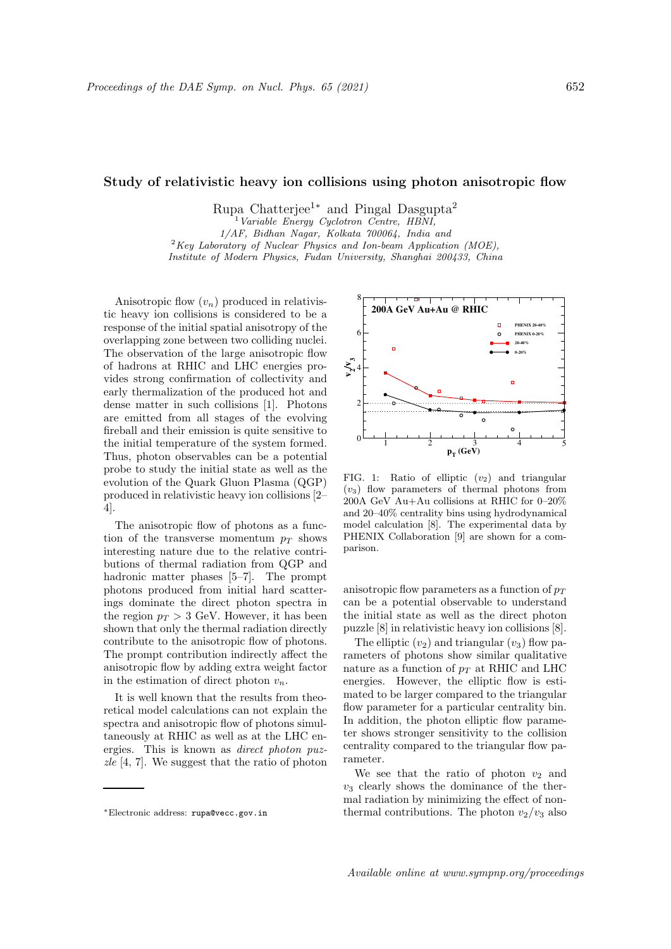## Study of relativistic heavy ion collisions using photon anisotropic flow

Rupa Chatterjee<sup>1∗</sup> and Pingal Dasgupta<sup>2</sup>

Variable Energy Cyclotron Centre, HBNI,

1/AF, Bidhan Nagar, Kolkata 700064, India and

 $2Key Laboratory$  of Nuclear Physics and Ion-beam Application (MOE), Institute of Modern Physics, Fudan University, Shanghai 200433, China

Anisotropic flow  $(v_n)$  produced in relativistic heavy ion collisions is considered to be a response of the initial spatial anisotropy of the overlapping zone between two colliding nuclei. The observation of the large anisotropic flow of hadrons at RHIC and LHC energies provides strong confirmation of collectivity and early thermalization of the produced hot and dense matter in such collisions [1]. Photons are emitted from all stages of the evolving fireball and their emission is quite sensitive to the initial temperature of the system formed. Thus, photon observables can be a potential probe to study the initial state as well as the evolution of the Quark Gluon Plasma (QGP) produced in relativistic heavy ion collisions [2– 4].

The anisotropic flow of photons as a function of the transverse momentum  $p_T$  shows interesting nature due to the relative contributions of thermal radiation from QGP and hadronic matter phases [5–7]. The prompt photons produced from initial hard scatterings dominate the direct photon spectra in the region  $p_T > 3$  GeV. However, it has been shown that only the thermal radiation directly contribute to the anisotropic flow of photons. The prompt contribution indirectly affect the anisotropic flow by adding extra weight factor in the estimation of direct photon  $v_n$ .

It is well known that the results from theoretical model calculations can not explain the spectra and anisotropic flow of photons simultaneously at RHIC as well as at the LHC energies. This is known as direct photon puz $zle [4, 7]$ . We suggest that the ratio of photon



FIG. 1: Ratio of elliptic  $(v_2)$  and triangular  $(v_3)$  flow parameters of thermal photons from 200A GeV Au+Au collisions at RHIC for 0–20% and 20–40% centrality bins using hydrodynamical model calculation [8]. The experimental data by PHENIX Collaboration [9] are shown for a comparison.

anisotropic flow parameters as a function of  $p_T$ can be a potential observable to understand the initial state as well as the direct photon puzzle [8] in relativistic heavy ion collisions [8].

The elliptic  $(v_2)$  and triangular  $(v_3)$  flow parameters of photons show similar qualitative nature as a function of  $p_T$  at RHIC and LHC energies. However, the elliptic flow is estimated to be larger compared to the triangular flow parameter for a particular centrality bin. In addition, the photon elliptic flow parameter shows stronger sensitivity to the collision centrality compared to the triangular flow parameter.

We see that the ratio of photon  $v_2$  and  $v_3$  clearly shows the dominance of the thermal radiation by minimizing the effect of nonthermal contributions. The photon  $v_2/v_3$  also

<sup>∗</sup>Electronic address: rupa@vecc.gov.in